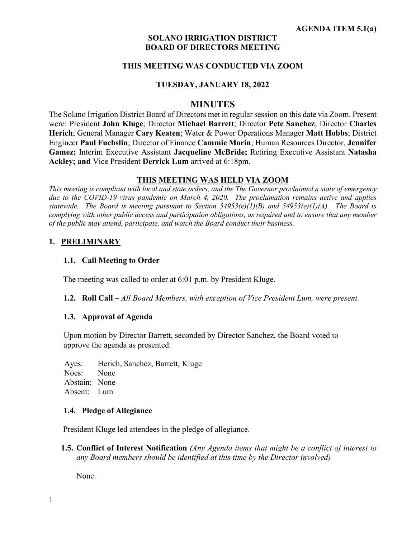#### **SOLANO IRRIGATION DISTRICT BOARD OF DIRECTORS MEETING**

#### **THIS MEETING WAS CONDUCTED VIA ZOOM**

#### **TUESDAY, JANUARY 18, 2022**

#### **MINUTES**

The Solano Irrigation District Board of Directors met in regular session on this date via Zoom. Present were: President **John Kluge**; Director **Michael Barrett**; Director **Pete Sanchez**; Director **Charles Herich**; General Manager **Cary Keaten**; Water & Power Operations Manager **Matt Hobbs**; District Engineer **Paul Fuchslin**; Director of Finance **Cammie Morin**; Human Resources Director, **Jennifer Gamez;** Interim Executive Assistant **Jacqueline McBride;** Retiring Executive Assistant **Natasha Ackley; and** Vice President **Derrick Lum** arrived at 6:18pm.

#### **THIS MEETING WAS HELD VIA ZOOM**

*This meeting is compliant with local and state orders, and the The Governor proclaimed a state of emergency due to the COVID-19 virus pandemic on March 4, 2020. The proclamation remains active and applies statewide. The Board is meeting pursuant to Section 54953(e)(1)(B) and 54953(e)(1)(A). The Board is complying with other public access and participation obligations, as required and to ensure that any member of the public may attend, participate, and watch the Board conduct their business.* 

#### **1. PRELIMINARY**

#### **1.1. Call Meeting to Order**

The meeting was called to order at 6:01 p.m. by President Kluge.

**1.2. Roll Call –** *All Board Members, with exception of Vice President Lum, were present.*

#### **1.3. Approval of Agenda**

Upon motion by Director Barrett, seconded by Director Sanchez, the Board voted to approve the agenda as presented.

Ayes: Herich, Sanchez, Barrett, Kluge Noes: None Abstain: None Absent: Lum

#### **1.4. Pledge of Allegiance**

President Kluge led attendees in the pledge of allegiance.

**1.5. Conflict of Interest Notification** *(Any Agenda items that might be a conflict of interest to any Board members should be identified at this time by the Director involved)*

None.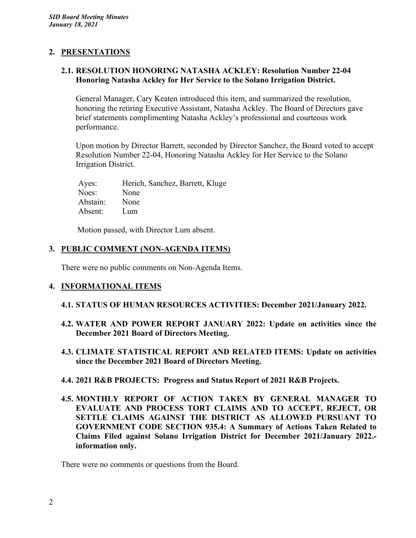### **2. PRESENTATIONS**

### **2.1. RESOLUTION HONORING NATASHA ACKLEY: Resolution Number 22-04 Honoring Natasha Ackley for Her Service to the Solano Irrigation District.**

General Manager, Cary Keaten introduced this item, and summarized the resolution, honoring the retiring Executive Assistant, Natasha Ackley. The Board of Directors gave brief statements complimenting Natasha Ackley's professional and courteous work performance.

Upon motion by Director Barrett, seconded by Director Sanchez, the Board voted to accept Resolution Number 22-04, Honoring Natasha Ackley for Her Service to the Solano Irrigation District.

Ayes: Herich, Sanchez, Barrett, Kluge Noes: None Abstain: None Absent: Lum

Motion passed, with Director Lum absent.

## **3. PUBLIC COMMENT (NON-AGENDA ITEMS)**

There were no public comments on Non-Agenda Items.

## **4. INFORMATIONAL ITEMS**

#### **4.1. STATUS OF HUMAN RESOURCES ACTIVITIES: December 2021/January 2022.**

- **4.2. WATER AND POWER REPORT JANUARY 2022: Update on activities since the December 2021 Board of Directors Meeting.**
- **4.3. CLIMATE STATISTICAL REPORT AND RELATED ITEMS: Update on activities since the December 2021 Board of Directors Meeting.**
- **4.4. 2021 R&B PROJECTS: Progress and Status Report of 2021 R&B Projects.**
- **4.5. MONTHLY REPORT OF ACTION TAKEN BY GENERAL MANAGER TO EVALUATE AND PROCESS TORT CLAIMS AND TO ACCEPT, REJECT, OR SETTLE CLAIMS AGAINST THE DISTRICT AS ALLOWED PURSUANT TO GOVERNMENT CODE SECTION 935.4: A Summary of Actions Taken Related to Claims Filed against Solano Irrigation District for December 2021/January 2022. information only.**

There were no comments or questions from the Board.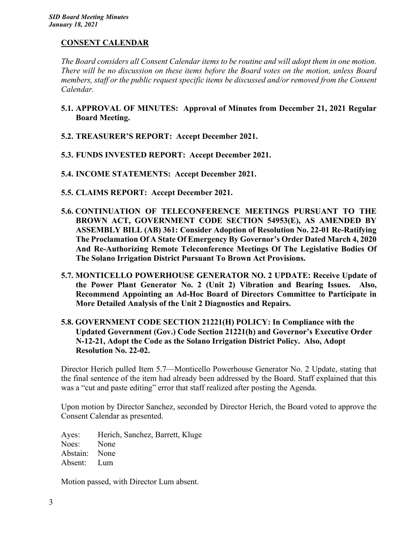### **CONSENT CALENDAR**

*The Board considers all Consent Calendar items to be routine and will adopt them in one motion. There will be no discussion on these items before the Board votes on the motion, unless Board members, staff or the public request specific items be discussed and/or removed from the Consent Calendar.*

- **5.1. APPROVAL OF MINUTES: Approval of Minutes from December 21, 2021 Regular Board Meeting.**
- **5.2. TREASURER'S REPORT: Accept December 2021.**
- **5.3. FUNDS INVESTED REPORT: Accept December 2021.**
- **5.4. INCOME STATEMENTS: Accept December 2021.**
- **5.5. CLAIMS REPORT: Accept December 2021.**
- **5.6. CONTINUATION OF TELECONFERENCE MEETINGS PURSUANT TO THE BROWN ACT, GOVERNMENT CODE SECTION 54953(E), AS AMENDED BY ASSEMBLY BILL (AB) 361: Consider Adoption of Resolution No. 22-01 Re-Ratifying The Proclamation Of A State Of Emergency By Governor's Order Dated March 4, 2020 And Re-Authorizing Remote Teleconference Meetings Of The Legislative Bodies Of The Solano Irrigation District Pursuant To Brown Act Provisions.**
- **5.7. MONTICELLO POWERHOUSE GENERATOR NO. 2 UPDATE: Receive Update of the Power Plant Generator No. 2 (Unit 2) Vibration and Bearing Issues. Also, Recommend Appointing an Ad-Hoc Board of Directors Committee to Participate in More Detailed Analysis of the Unit 2 Diagnostics and Repairs.**
- **5.8. GOVERNMENT CODE SECTION 21221(H) POLICY: In Compliance with the Updated Government (Gov.) Code Section 21221(h) and Governor's Executive Order N-12-21, Adopt the Code as the Solano Irrigation District Policy. Also, Adopt Resolution No. 22-02.**

Director Herich pulled Item 5.7—Monticello Powerhouse Generator No. 2 Update, stating that the final sentence of the item had already been addressed by the Board. Staff explained that this was a "cut and paste editing" error that staff realized after posting the Agenda.

Upon motion by Director Sanchez, seconded by Director Herich, the Board voted to approve the Consent Calendar as presented.

Ayes: Herich, Sanchez, Barrett, Kluge Noes: None Abstain: None Absent: Lum

Motion passed, with Director Lum absent.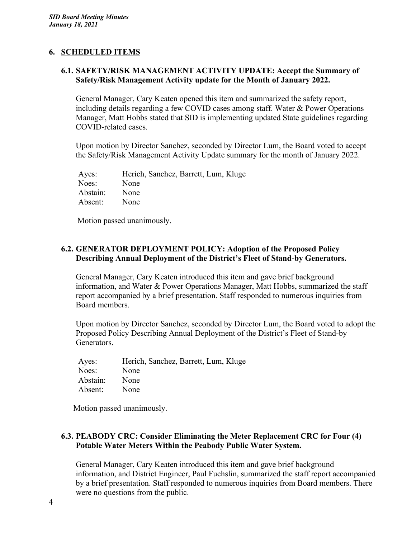## **6. SCHEDULED ITEMS**

### **6.1. SAFETY/RISK MANAGEMENT ACTIVITY UPDATE: Accept the Summary of Safety/Risk Management Activity update for the Month of January 2022.**

General Manager, Cary Keaten opened this item and summarized the safety report, including details regarding a few COVID cases among staff. Water & Power Operations Manager, Matt Hobbs stated that SID is implementing updated State guidelines regarding COVID-related cases.

Upon motion by Director Sanchez, seconded by Director Lum, the Board voted to accept the Safety/Risk Management Activity Update summary for the month of January 2022.

| Ayes:    | Herich, Sanchez, Barrett, Lum, Kluge |
|----------|--------------------------------------|
| Noes:    | None                                 |
| Abstain: | None                                 |
| Absent:  | None                                 |

Motion passed unanimously.

### **6.2. GENERATOR DEPLOYMENT POLICY: Adoption of the Proposed Policy Describing Annual Deployment of the District's Fleet of Stand-by Generators.**

General Manager, Cary Keaten introduced this item and gave brief background information, and Water & Power Operations Manager, Matt Hobbs, summarized the staff report accompanied by a brief presentation. Staff responded to numerous inquiries from Board members.

Upon motion by Director Sanchez, seconded by Director Lum, the Board voted to adopt the Proposed Policy Describing Annual Deployment of the District's Fleet of Stand-by Generators.

| Ayes:    | Herich, Sanchez, Barrett, Lum, Kluge |
|----------|--------------------------------------|
| Noes:    | None                                 |
| Abstain: | None                                 |
| Absent:  | None                                 |

Motion passed unanimously.

### **6.3. PEABODY CRC: Consider Eliminating the Meter Replacement CRC for Four (4) Potable Water Meters Within the Peabody Public Water System.**

General Manager, Cary Keaten introduced this item and gave brief background information, and District Engineer, Paul Fuchslin, summarized the staff report accompanied by a brief presentation. Staff responded to numerous inquiries from Board members. There were no questions from the public.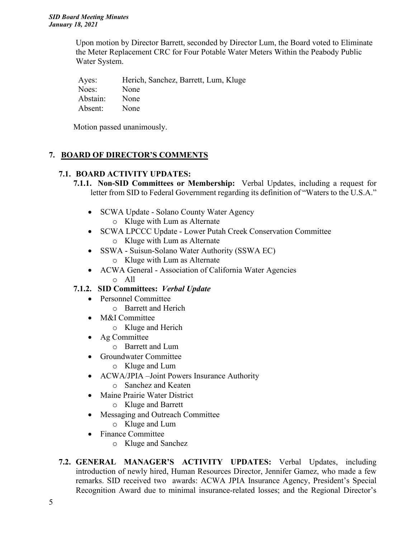Upon motion by Director Barrett, seconded by Director Lum, the Board voted to Eliminate the Meter Replacement CRC for Four Potable Water Meters Within the Peabody Public Water System.

Ayes: Herich, Sanchez, Barrett, Lum, Kluge Noes: None Abstain: None Absent: None

Motion passed unanimously.

# **7. BOARD OF DIRECTOR'S COMMENTS**

# **7.1. BOARD ACTIVITY UPDATES:**

- **7.1.1. Non-SID Committees or Membership:** Verbal Updates, including a request for letter from SID to Federal Government regarding its definition of "Waters to the U.S.A."
	- SCWA Update Solano County Water Agency
		- o Kluge with Lum as Alternate
	- SCWA LPCCC Update Lower Putah Creek Conservation Committee
		- o Kluge with Lum as Alternate
	- SSWA Suisun-Solano Water Authority (SSWA EC)
		- o Kluge with Lum as Alternate
	- ACWA General Association of California Water Agencies o All

# **7.1.2. SID Committees:** *Verbal Update*

- Personnel Committee
	- o Barrett and Herich
- M&I Committee
	- o Kluge and Herich
- Ag Committee
	- o Barrett and Lum
- Groundwater Committee
	- o Kluge and Lum
- ACWA/JPIA –Joint Powers Insurance Authority
	- o Sanchez and Keaten
- Maine Prairie Water District
	- o Kluge and Barrett
- Messaging and Outreach Committee
	- o Kluge and Lum
- Finance Committee
	- o Kluge and Sanchez
- **7.2. GENERAL MANAGER'S ACTIVITY UPDATES:** Verbal Updates, including introduction of newly hired, Human Resources Director, Jennifer Gamez, who made a few remarks. SID received two awards: ACWA JPIA Insurance Agency, President's Special Recognition Award due to minimal insurance-related losses; and the Regional Director's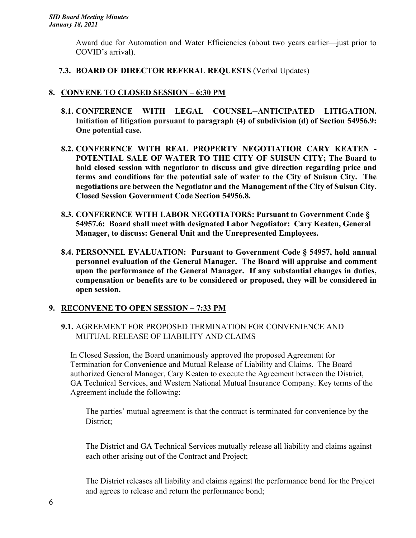Award due for Automation and Water Efficiencies (about two years earlier—just prior to COVID's arrival).

## **7.3. BOARD OF DIRECTOR REFERAL REQUESTS** (Verbal Updates)

# **8. CONVENE TO CLOSED SESSION – 6:30 PM**

- **8.1. CONFERENCE WITH LEGAL COUNSEL--ANTICIPATED LITIGATION. Initiation of litigation pursuant to paragraph (4) of subdivision (d) of Section 54956.9: One potential case.**
- **8.2. CONFERENCE WITH REAL PROPERTY NEGOTIATIOR CARY KEATEN - POTENTIAL SALE OF WATER TO THE CITY OF SUISUN CITY; The Board to hold closed session with negotiator to discuss and give direction regarding price and terms and conditions for the potential sale of water to the City of Suisun City. The negotiations are between the Negotiator and the Management of the City of Suisun City. Closed Session Government Code Section 54956.8.**
- **8.3. CONFERENCE WITH LABOR NEGOTIATORS: Pursuant to Government Code § 54957.6: Board shall meet with designated Labor Negotiator: Cary Keaten, General Manager, to discuss: General Unit and the Unrepresented Employees.**
- **8.4. PERSONNEL EVALUATION: Pursuant to Government Code § 54957, hold annual personnel evaluation of the General Manager. The Board will appraise and comment upon the performance of the General Manager. If any substantial changes in duties, compensation or benefits are to be considered or proposed, they will be considered in open session.**

## **9. RECONVENE TO OPEN SESSION – 7:33 PM**

**9.1.** AGREEMENT FOR PROPOSED TERMINATION FOR CONVENIENCE AND MUTUAL RELEASE OF LIABILITY AND CLAIMS

In Closed Session, the Board unanimously approved the proposed Agreement for Termination for Convenience and Mutual Release of Liability and Claims. The Board authorized General Manager, Cary Keaten to execute the Agreement between the District, GA Technical Services, and Western National Mutual Insurance Company. Key terms of the Agreement include the following:

The parties' mutual agreement is that the contract is terminated for convenience by the District;

The District and GA Technical Services mutually release all liability and claims against each other arising out of the Contract and Project;

The District releases all liability and claims against the performance bond for the Project and agrees to release and return the performance bond;